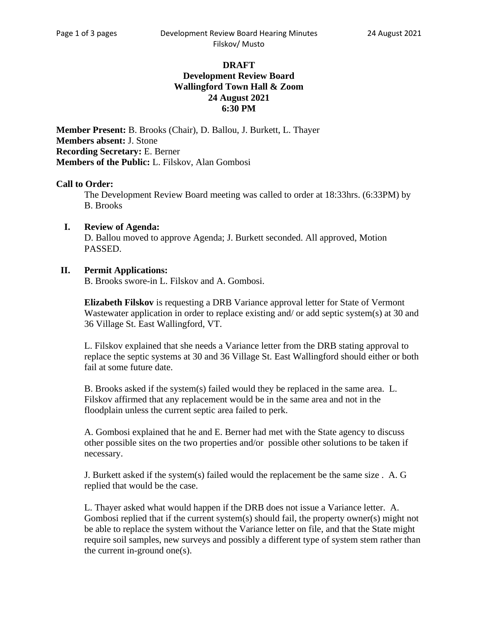# **DRAFT Development Review Board Wallingford Town Hall & Zoom 24 August 2021 6:30 PM**

**Member Present:** B. Brooks (Chair), D. Ballou, J. Burkett, L. Thayer **Members absent:** J. Stone **Recording Secretary:** E. Berner **Members of the Public:** L. Filskov, Alan Gombosi

### **Call to Order:**

The Development Review Board meeting was called to order at 18:33hrs. (6:33PM) by B. Brooks

### **I. Review of Agenda:**

D. Ballou moved to approve Agenda; J. Burkett seconded. All approved, Motion PASSED.

### **II. Permit Applications:**

B. Brooks swore-in L. Filskov and A. Gombosi.

**Elizabeth Filskov** is requesting a DRB Variance approval letter for State of Vermont Wastewater application in order to replace existing and/ or add septic system(s) at 30 and 36 Village St. East Wallingford, VT.

L. Filskov explained that she needs a Variance letter from the DRB stating approval to replace the septic systems at 30 and 36 Village St. East Wallingford should either or both fail at some future date.

B. Brooks asked if the system(s) failed would they be replaced in the same area. L. Filskov affirmed that any replacement would be in the same area and not in the floodplain unless the current septic area failed to perk.

A. Gombosi explained that he and E. Berner had met with the State agency to discuss other possible sites on the two properties and/or possible other solutions to be taken if necessary.

J. Burkett asked if the system(s) failed would the replacement be the same size . A. G replied that would be the case.

L. Thayer asked what would happen if the DRB does not issue a Variance letter. A. Gombosi replied that if the current system(s) should fail, the property owner(s) might not be able to replace the system without the Variance letter on file, and that the State might require soil samples, new surveys and possibly a different type of system stem rather than the current in-ground one(s).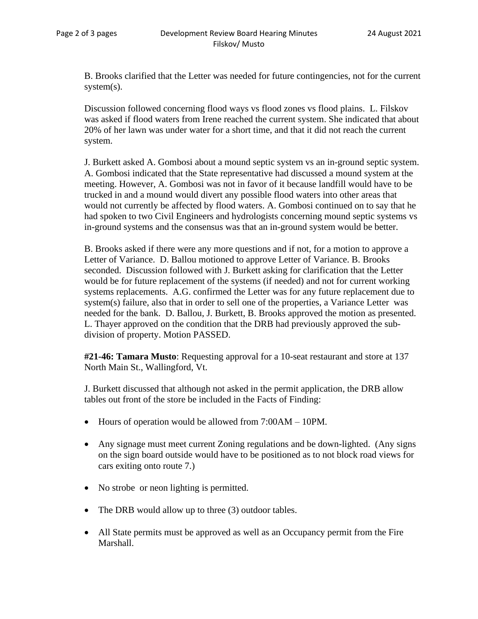B. Brooks clarified that the Letter was needed for future contingencies, not for the current system(s).

Discussion followed concerning flood ways vs flood zones vs flood plains. L. Filskov was asked if flood waters from Irene reached the current system. She indicated that about 20% of her lawn was under water for a short time, and that it did not reach the current system.

J. Burkett asked A. Gombosi about a mound septic system vs an in-ground septic system. A. Gombosi indicated that the State representative had discussed a mound system at the meeting. However, A. Gombosi was not in favor of it because landfill would have to be trucked in and a mound would divert any possible flood waters into other areas that would not currently be affected by flood waters. A. Gombosi continued on to say that he had spoken to two Civil Engineers and hydrologists concerning mound septic systems vs in-ground systems and the consensus was that an in-ground system would be better.

B. Brooks asked if there were any more questions and if not, for a motion to approve a Letter of Variance. D. Ballou motioned to approve Letter of Variance. B. Brooks seconded. Discussion followed with J. Burkett asking for clarification that the Letter would be for future replacement of the systems (if needed) and not for current working systems replacements. A.G. confirmed the Letter was for any future replacement due to system(s) failure, also that in order to sell one of the properties, a Variance Letter was needed for the bank. D. Ballou, J. Burkett, B. Brooks approved the motion as presented. L. Thayer approved on the condition that the DRB had previously approved the subdivision of property. Motion PASSED.

**#21-46: Tamara Musto**: Requesting approval for a 10-seat restaurant and store at 137 North Main St., Wallingford, Vt.

J. Burkett discussed that although not asked in the permit application, the DRB allow tables out front of the store be included in the Facts of Finding:

- Hours of operation would be allowed from 7:00AM 10PM.
- Any signage must meet current Zoning regulations and be down-lighted. (Any signs on the sign board outside would have to be positioned as to not block road views for cars exiting onto route 7.)
- No strobe or neon lighting is permitted.
- The DRB would allow up to three (3) outdoor tables.
- All State permits must be approved as well as an Occupancy permit from the Fire Marshall.